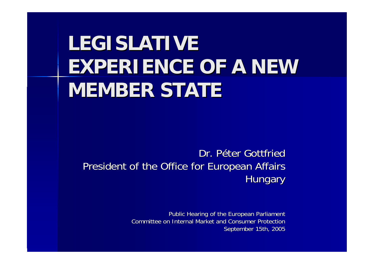# **LEGISLATIVE EXPERIENCE OF A NEW MEMBER STATE MEMBER STATE**

Dr. Péter Gottfried President of the Office for European Affairs **Hungary** 

> Public Hearing of the European Parliament Committee on Internal Market and Consumer Protection September 15th, 2005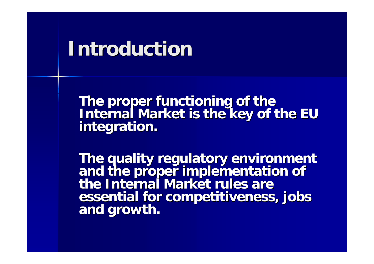### **Introduction Introduction**

**The proper functioning of the<br>Internal Market is the key of the EU<br>integration.** 

The quality regulatory environment<br>and the proper implementation of<br>the Internal Market rules are **essential essential for competitiveness, jobs for competitiveness, jobs and growth. and growth.**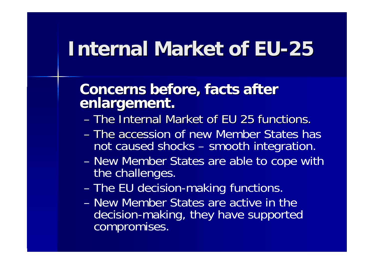## **Internal Market of EU-25**

#### **Concerns before Concerns before, facts after facts after enlargement enlargement.**

- The Internal Market of EU 25 functions.
- The accession of new Member States has not caused shocks –- smooth integration.
- New Member States are able to cope with the challenges.
- The EU decision-making functions.
- –New Member States are active in the decision-making, they have supported compromises.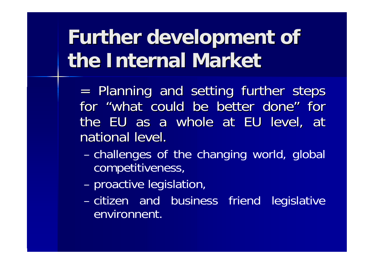# **Further development of the Internal Market the Internal Market**

= Planning and setting further steps for "what could be better done" for the EU as a whole at EU level, at national level.

- – challenges of the changing world, global competitiveness,
- –proactive legislation,
- citizen and business friend legislative environnent.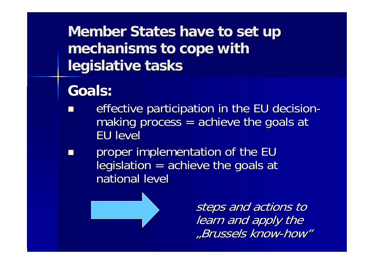**Member States have to set up mechanisms mechanisms to cope with to cope with legislative tasks legislative tasks**

### **Goals:**

- effective participation in the EU decisionmaking process = $=$  achieve the goals at EU level
- proper implementation of the EU legislation = $=$  achieve the goals at national level



steps and actions to learn and apply the "Brussels know-how"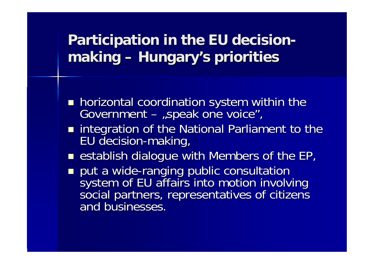#### **Participation in the EU decision Participation in the EU decision making Hungary's priorities Hungary's priorities**

- **h** horizontal coordination system within the coordination system within the  $\overline{\phantom{a}}$  Government – "speak one voice",
- **numies integration of the National Parliament to the National Parliament to the National Parliament to the EU** EU decision-making,
- **Extrablish dialogue with Members of the EP,**
- put a wide-ranging public consultation system of EU affairs into motion involving<br>social partners, representatives of citizens and businesses.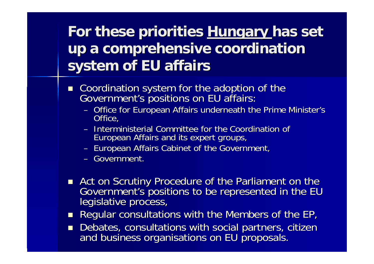### **For these priorities For these priorities Hungary Hungary has set up a comprehensive coordination comprehensive coordination system of system of EU affairs affairs**

- Coordination system for the adoption of the Government's positions on EU affairs:
	- –– Office for European Affairs underneath the Prime Minister's <br>Office,
	- Interministerial Committee for the Coordination of European Affairs and its expert groups,
	- –– European Affairs Cabinet of the Government,
	- Government.
- Act on Government's positions to be represented in the EU<br>legislative process,
- $\blacksquare$ Regular consultations with the Members of the EP,
- $\blacksquare$ Debates, consultations with social partners, citizen and business organisations on EU proposals.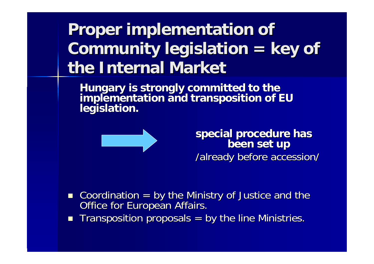#### **Proper implementation Proper implementation of Community legislation Community legislation =** $=$  key of **the Internal Market the Internal Market**

**Hungary is Hungary is strongly committed to the strongly committed to the implementation and transposition of implementation and transposition of EU legislation legislation.**



**special procedure special procedure has been set up been set up** /already before accession/

- Coordination = by the Ministry of Justice and the  $\Box$  Office for European Affairs. Office for European Affairs.
- $\Box$ Transposition proposals  $=$  by the line Ministries.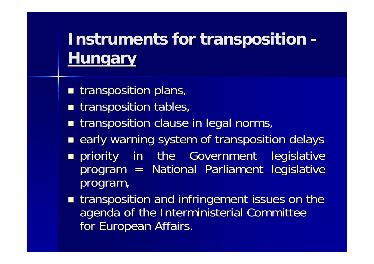#### **Instruments for transposition Instruments for transposition -Hungary Hungary**

- **The transposition plans,**
- **The transposition tables,**
- $\blacksquare$  transposition clause in legal norms,
- **E** early warning system of transposition delays
- **n** priority in the Government legislative program = National Parliament legislative program,
- **The Interative metallisher is in the infringement issues on the** agenda of the Interministerial Committee for European Affairs.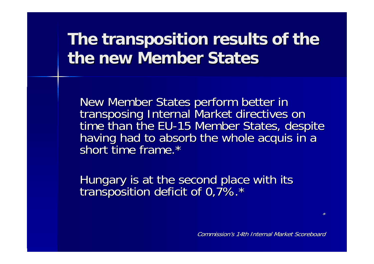### **The transposition results of the transposition results of the the new Member States**

New Member States perform better in<br>transposing Internal Market directives on<br>time than the EU-15 Member States, despite having had to absorb the whole acquis in a short time frame.\*

Hungary is at the second place with its second place with its transposition deficit of 0,7%.\*

Commission's 14th Internal Market Scoreboard

\*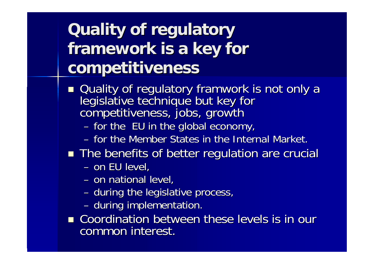## **Quality of regulatory Quality of regulatory**  framework is a key for **competitiveness competitiveness**

- Quality of regulatory framwork is not only a legislative technique but key for legislative technique but key for competitiveness, jobs, growth
	- and the control of the  $-$  for the  $\,$  EU in the global economy,
	- for the Member States in the Internal Market.
- **The benefits of better regulation are crucial** 
	- and the control of the – on EU level,
	- and the state of the – on national level,
	- and the control of the  $-$  during the legislative process,
	- and the control of the – during implementation.
- **E** Coordination between these levels is in our common interest.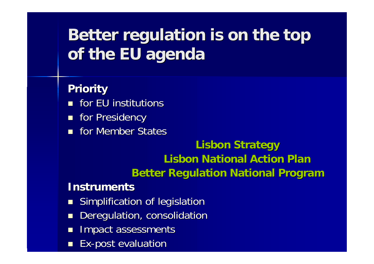### **Better regulation Better regulation is on the top is on the top of the EU agenda of the EU agenda**

#### **Priority Priority**

- $\blacksquare$  for EU institutions
- **For Presidency**
- **for Member States**

#### **Lisbon Strategy Lisbon Strategy Lisbon National Action Plan Better Regulation National Program**

#### **Instruments Instruments**

- $\Box$ Simplification of legislation
- $\blacksquare$ Deregulation, consolidation
- П Impact assessments
- $\blacksquare$ **Ex-post evaluation**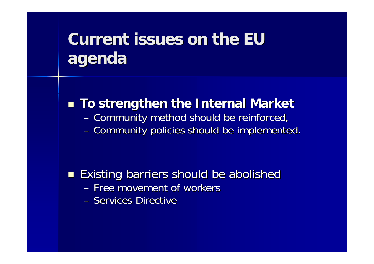### **Current issues on the EU agenda**

**Examps To strengthen the Internal Market** and the control of the – Community method should be reinforced, and the control of the – Community policies should be implemented.

#### $\blacksquare$  Existing barriers should be abolished Existing barriers should be abolished – Free movement of workers – Services Directive